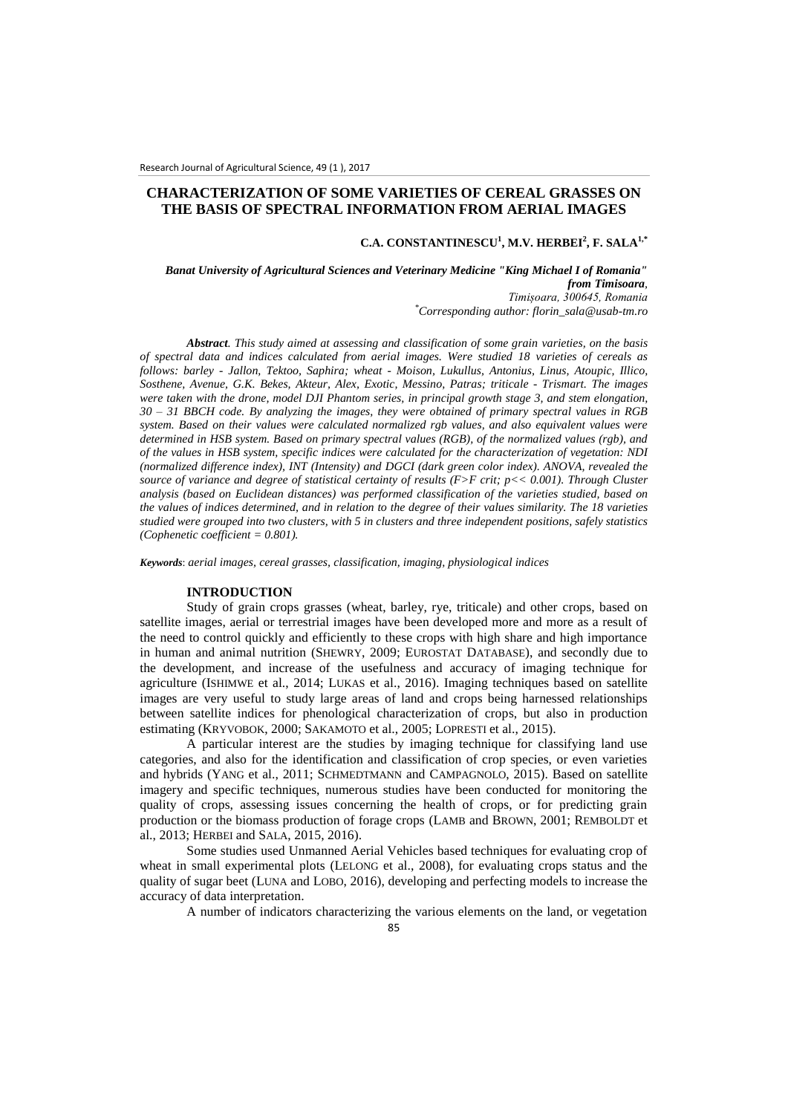# **CHARACTERIZATION OF SOME VARIETIES OF CEREAL GRASSES ON THE BASIS OF SPECTRAL INFORMATION FROM AERIAL IMAGES**

### **C.A. CONSTANTINESCU<sup>1</sup> , M.V. HERBEI<sup>2</sup> , F. SALA1,\***

*Banat University of Agricultural Sciences and Veterinary Medicine "King Michael I of Romania" from Timisoara, Timișoara, 300645, Romania \*Corresponding author: florin\_sala@usab-tm.ro*

*Abstract. This study aimed at assessing and classification of some grain varieties, on the basis of spectral data and indices calculated from aerial images. Were studied 18 varieties of cereals as follows: barley - Jallon, Tektoo, Saphira; wheat - Moison, Lukullus, Antonius, Linus, Atoupic, Illico, Sosthene, Avenue, G.K. Bekes, Akteur, Alex, Exotic, Messino, Patras; triticale - Trismart. The images were taken with the drone, model DJI Phantom series, in principal growth stage 3, and stem elongation, 30 – 31 BBCH code. By analyzing the images, they were obtained of primary spectral values in RGB system. Based on their values were calculated normalized rgb values, and also equivalent values were determined in HSB system. Based on primary spectral values (RGB), of the normalized values (rgb), and of the values in HSB system, specific indices were calculated for the characterization of vegetation: NDI (normalized difference index), INT (Intensity) and DGCI (dark green color index). ANOVA, revealed the source of variance and degree of statistical certainty of results (F>F crit; p<< 0.001). Through Cluster analysis (based on Euclidean distances) was performed classification of the varieties studied, based on the values of indices determined, and in relation to the degree of their values similarity. The 18 varieties studied were grouped into two clusters, with 5 in clusters and three independent positions, safely statistics (Cophenetic coefficient = 0.801).*

*Keywords*: *aerial images, cereal grasses, classification, imaging, physiological indices*

## **INTRODUCTION**

Study of grain crops grasses (wheat, barley, rye, triticale) and other crops, based on satellite images, aerial or terrestrial images have been developed more and more as a result of the need to control quickly and efficiently to these crops with high share and high importance in human and animal nutrition (SHEWRY, 2009; EUROSTAT DATABASE), and secondly due to the development, and increase of the usefulness and accuracy of imaging technique for agriculture (ISHIMWE et al., 2014; LUKAS et al., 2016). Imaging techniques based on satellite images are very useful to study large areas of land and crops being harnessed relationships between satellite indices for phenological characterization of crops, but also in production estimating (KRYVOBOK, 2000; SAKAMOTO et al., 2005; LOPRESTI et al., 2015).

A particular interest are the studies by imaging technique for classifying land use categories, and also for the identification and classification of crop species, or even varieties and hybrids (YANG et al., 2011; SCHMEDTMANN and CAMPAGNOLO, 2015). Based on satellite imagery and specific techniques, numerous studies have been conducted for monitoring the quality of crops, assessing issues concerning the health of crops, or for predicting grain production or the biomass production of forage crops (LAMB and BROWN, 2001; REMBOLDT et al., 2013; HERBEI and SALA, 2015, 2016).

Some studies used Unmanned Aerial Vehicles based techniques for evaluating crop of wheat in small experimental plots (LELONG et al., 2008), for evaluating crops status and the quality of sugar beet (LUNA and LOBO, 2016), developing and perfecting models to increase the accuracy of data interpretation.

A number of indicators characterizing the various elements on the land, or vegetation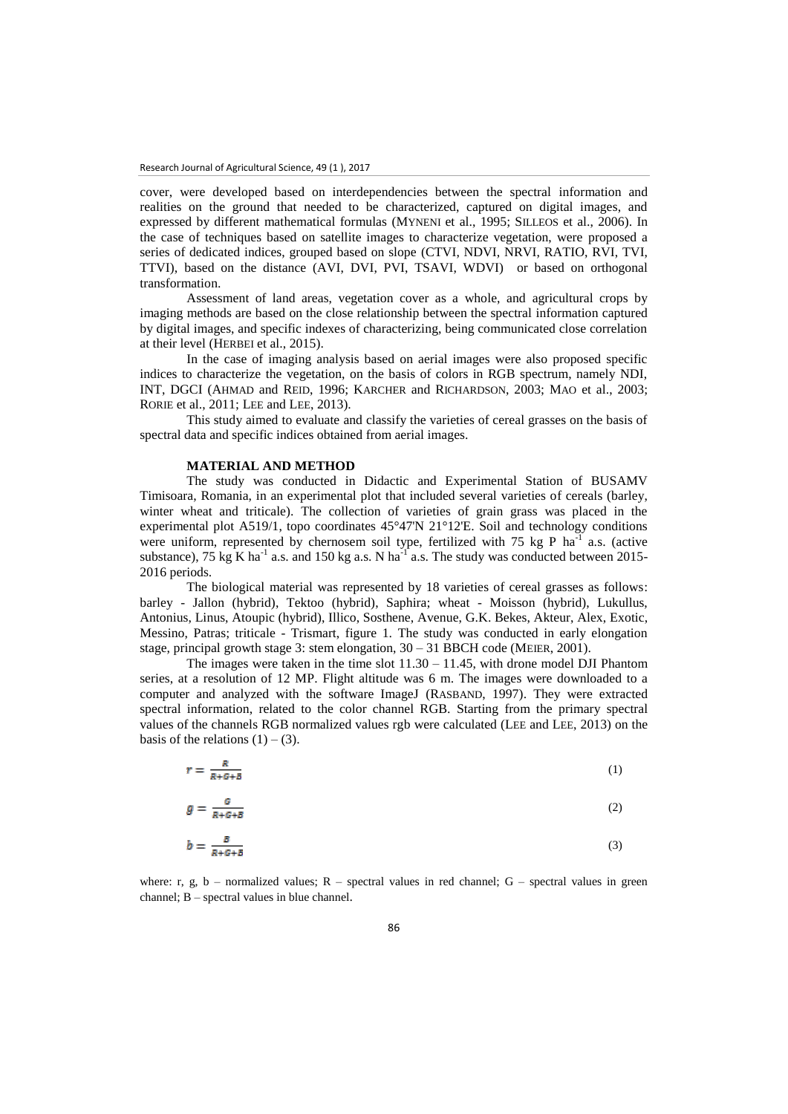cover, were developed based on interdependencies between the spectral information and realities on the ground that needed to be characterized, captured on digital images, and expressed by different mathematical formulas (MYNENI et al., 1995; SILLEOS et al., 2006). In the case of techniques based on satellite images to characterize vegetation, were proposed a series of dedicated indices, grouped based on slope (CTVI, NDVI, NRVI, RATIO, RVI, TVI, TTVI), based on the distance (AVI, DVI, PVI, TSAVI, WDVI) or based on orthogonal transformation.

Assessment of land areas, vegetation cover as a whole, and agricultural crops by imaging methods are based on the close relationship between the spectral information captured by digital images, and specific indexes of characterizing, being communicated close correlation at their level (HERBEI et al., 2015).

In the case of imaging analysis based on aerial images were also proposed specific indices to characterize the vegetation, on the basis of colors in RGB spectrum, namely NDI, INT, DGCI (AHMAD and REID, 1996; KARCHER and RICHARDSON, 2003; MAO et al., 2003; RORIE et al., 2011; LEE and LEE, 2013).

This study aimed to evaluate and classify the varieties of cereal grasses on the basis of spectral data and specific indices obtained from aerial images.

#### **MATERIAL AND METHOD**

The study was conducted in Didactic and Experimental Station of BUSAMV Timisoara, Romania, in an experimental plot that included several varieties of cereals (barley, winter wheat and triticale). The collection of varieties of grain grass was placed in the experimental plot A519/1, topo coordinates 45°47'N 21°12'E. Soil and technology conditions were uniform, represented by chernosem soil type, fertilized with 75 kg P  $\text{ha}^{-1}$  a.s. (active substance), 75 kg K ha<sup>-1</sup> a.s. and 150 kg a.s. N ha<sup>-1</sup> a.s. The study was conducted between 2015-2016 periods.

The biological material was represented by 18 varieties of cereal grasses as follows: barley - Jallon (hybrid), Tektoo (hybrid), Saphira; wheat - Moisson (hybrid), Lukullus, Antonius, Linus, Atoupic (hybrid), Illico, Sosthene, Avenue, G.K. Bekes, Akteur, Alex, Exotic, Messino, Patras; triticale - Trismart, figure 1. The study was conducted in early elongation stage, principal growth stage 3: stem elongation,  $30 - 31$  BBCH code (MEIER, 2001).

The images were taken in the time slot  $11.30 - 11.45$ , with drone model DJI Phantom series, at a resolution of 12 MP. Flight altitude was 6 m. The images were downloaded to a computer and analyzed with the software ImageJ (RASBAND, 1997). They were extracted spectral information, related to the color channel RGB. Starting from the primary spectral values of the channels RGB normalized values rgb were calculated (LEE and LEE, 2013) on the basis of the relations  $(1) - (3)$ .

$$
r = \frac{R}{R + G + B} \tag{1}
$$

$$
g = \frac{G}{R + G + B} \tag{2}
$$

$$
b = \frac{B}{R + G + B} \tag{3}
$$

where: r, g, b – normalized values;  $R$  – spectral values in red channel;  $G$  – spectral values in green channel; B – spectral values in blue channel.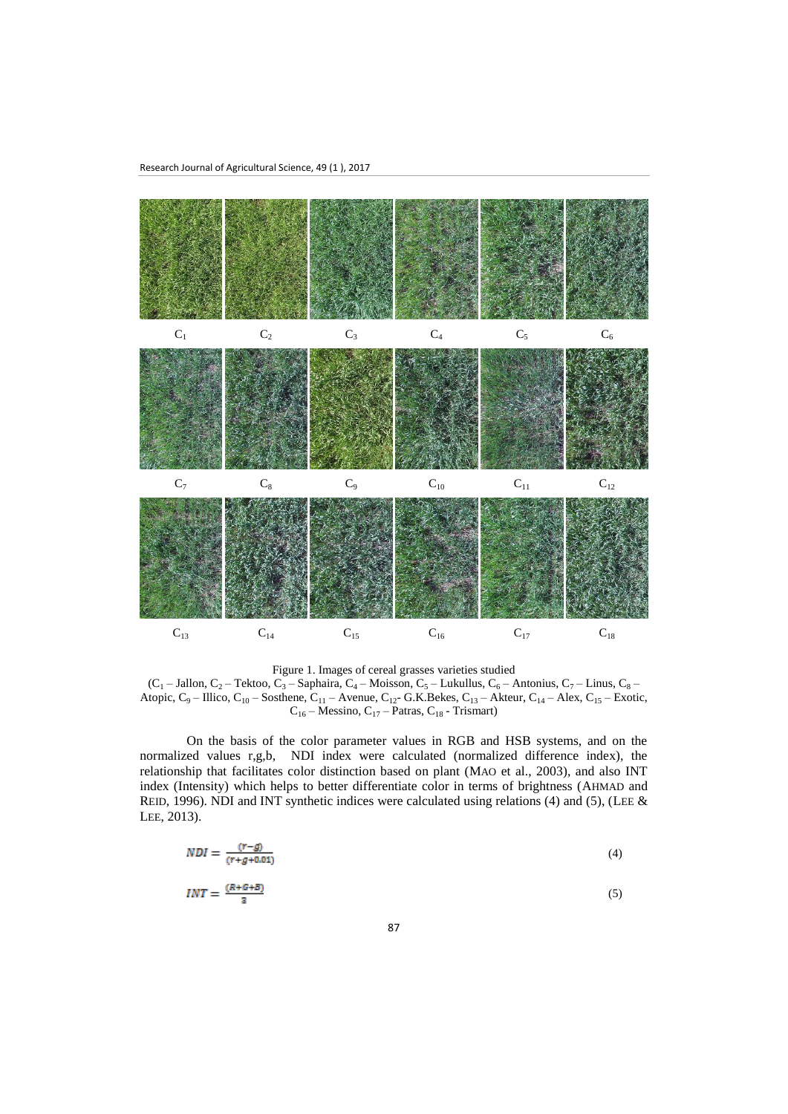

Figure 1. Images of cereal grasses varieties studied

 $(C_1 - \text{Jallon}, C_2 - \text{Tekto}, C_3 - \text{Saphaira}, C_4 - \text{Moisson}, C_5 - \text{Lukullus}, C_6 - \text{Antonius}, C_7 - \text{Linus}, C_8 - \text{Ovalim.}$ Atopic,  $C_9$  – Illico,  $C_{10}$  – Sosthene,  $C_{11}$  – Avenue,  $C_{12}$ - G.K.Bekes,  $C_{13}$  – Akteur,  $C_{14}$  – Alex,  $C_{15}$  – Exotic,  $C_{16}$  – Messino,  $C_{17}$  – Patras,  $C_{18}$  - Trismart)

On the basis of the color parameter values in RGB and HSB systems, and on the normalized values r,g,b, NDI index were calculated (normalized difference index), the relationship that facilitates color distinction based on plant (MAO et al., 2003), and also INT index (Intensity) which helps to better differentiate color in terms of brightness (AHMAD and REID, 1996). NDI and INT synthetic indices were calculated using relations (4) and (5), (LEE  $\&$ LEE, 2013).

$$
NDI = \frac{(r-g)}{(r+g+0.01)}\tag{4}
$$

$$
INT = \frac{(R + G + B)}{2} \tag{5}
$$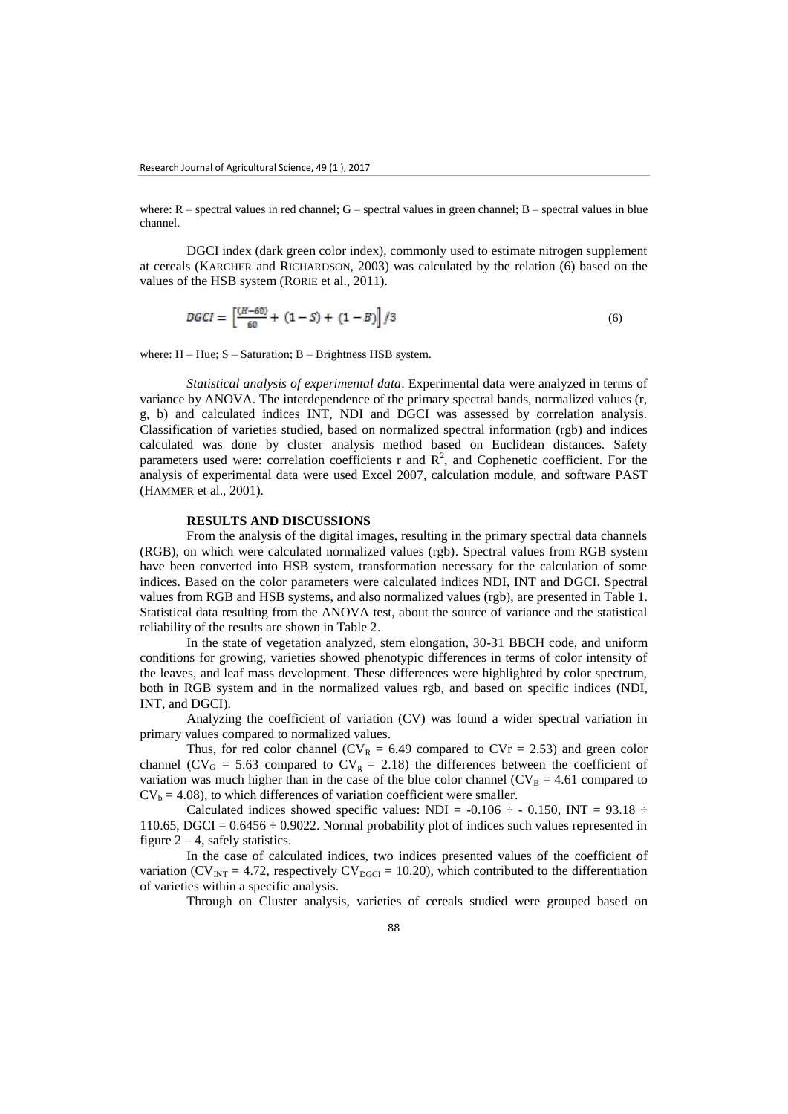where:  $R$  – spectral values in red channel;  $G$  – spectral values in green channel;  $B$  – spectral values in blue channel.

DGCI index (dark green color index), commonly used to estimate nitrogen supplement at cereals (KARCHER and RICHARDSON, 2003) was calculated by the relation (6) based on the values of the HSB system (RORIE et al., 2011).

$$
DGCI = \left[\frac{(H-60)}{60} + (1-S) + (1-B)\right]/3\tag{6}
$$

where: H – Hue; S – Saturation; B – Brightness HSB system.

*Statistical analysis of experimental data*. Experimental data were analyzed in terms of variance by ANOVA. The interdependence of the primary spectral bands, normalized values (r, g, b) and calculated indices INT, NDI and DGCI was assessed by correlation analysis. Classification of varieties studied, based on normalized spectral information (rgb) and indices calculated was done by cluster analysis method based on Euclidean distances. Safety parameters used were: correlation coefficients r and  $R^2$ , and Cophenetic coefficient. For the analysis of experimental data were used Excel 2007, calculation module, and software PAST (HAMMER et al., 2001).

### **RESULTS AND DISCUSSIONS**

From the analysis of the digital images, resulting in the primary spectral data channels (RGB), on which were calculated normalized values (rgb). Spectral values from RGB system have been converted into HSB system, transformation necessary for the calculation of some indices. Based on the color parameters were calculated indices NDI, INT and DGCI. Spectral values from RGB and HSB systems, and also normalized values (rgb), are presented in Table 1. Statistical data resulting from the ANOVA test, about the source of variance and the statistical reliability of the results are shown in Table 2.

In the state of vegetation analyzed, stem elongation, 30-31 BBCH code, and uniform conditions for growing, varieties showed phenotypic differences in terms of color intensity of the leaves, and leaf mass development. These differences were highlighted by color spectrum, both in RGB system and in the normalized values rgb, and based on specific indices (NDI, INT, and DGCI).

Analyzing the coefficient of variation (CV) was found a wider spectral variation in primary values compared to normalized values.

Thus, for red color channel ( $CV_R = 6.49$  compared to  $CVr = 2.53$ ) and green color channel (CV<sub>G</sub> = 5.63 compared to CV<sub>g</sub> = 2.18) the differences between the coefficient of variation was much higher than in the case of the blue color channel ( $CV_B = 4.61$  compared to  $CV_b = 4.08$ , to which differences of variation coefficient were smaller.

Calculated indices showed specific values: NDI =  $-0.106 \div -0.150$ , INT = 93.18  $\div$ 110.65, DGCI =  $0.6456 \div 0.9022$ . Normal probability plot of indices such values represented in figure  $2 - 4$ , safely statistics.

In the case of calculated indices, two indices presented values of the coefficient of variation (CV<sub>INT</sub> = 4.72, respectively CV<sub>DGCI</sub> = 10.20), which contributed to the differentiation of varieties within a specific analysis.

Through on Cluster analysis, varieties of cereals studied were grouped based on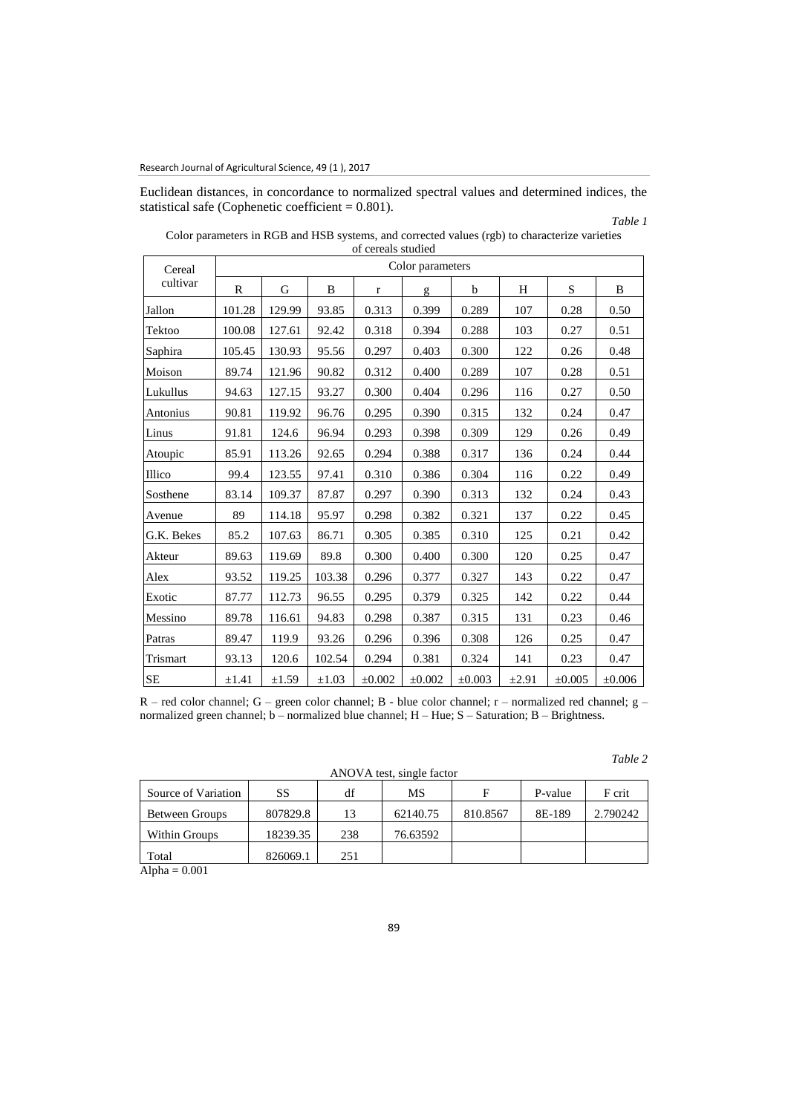Euclidean distances, in concordance to normalized spectral values and determined indices, the statistical safe (Cophenetic coefficient = 0.801).

#### *Table 1*

*Table 2*

|                    |                  |        |            | of cereals studied |        |             |            |             |             |  |  |
|--------------------|------------------|--------|------------|--------------------|--------|-------------|------------|-------------|-------------|--|--|
| Cereal<br>cultivar | Color parameters |        |            |                    |        |             |            |             |             |  |  |
|                    | $\mathbb{R}$     | G      | B          | $\mathbf r$        | g      | $\mathbf b$ | H          | S           | B           |  |  |
| Jallon             | 101.28           | 129.99 | 93.85      | 0.313              | 0.399  | 0.289       | 107        | 0.28        | 0.50        |  |  |
| Tektoo             | 100.08           | 127.61 | 92.42      | 0.318              | 0.394  | 0.288       | 103        | 0.27        | 0.51        |  |  |
| Saphira            | 105.45           | 130.93 | 95.56      | 0.297              | 0.403  | 0.300       | 122        | 0.26        | 0.48        |  |  |
| Moison             | 89.74            | 121.96 | 90.82      | 0.312              | 0.400  | 0.289       | 107        | 0.28        | 0.51        |  |  |
| Lukullus           | 94.63            | 127.15 | 93.27      | 0.300              | 0.404  | 0.296       | 116        | 0.27        | 0.50        |  |  |
| Antonius           | 90.81            | 119.92 | 96.76      | 0.295              | 0.390  | 0.315       | 132        | 0.24        | 0.47        |  |  |
| Linus              | 91.81            | 124.6  | 96.94      | 0.293              | 0.398  | 0.309       | 129        | 0.26        | 0.49        |  |  |
| Atoupic            | 85.91            | 113.26 | 92.65      | 0.294              | 0.388  | 0.317       | 136        | 0.24        | 0.44        |  |  |
| Illico             | 99.4             | 123.55 | 97.41      | 0.310              | 0.386  | 0.304       | 116        | 0.22        | 0.49        |  |  |
| Sosthene           | 83.14            | 109.37 | 87.87      | 0.297              | 0.390  | 0.313       | 132        | 0.24        | 0.43        |  |  |
| Avenue             | 89               | 114.18 | 95.97      | 0.298              | 0.382  | 0.321       | 137        | 0.22        | 0.45        |  |  |
| G.K. Bekes         | 85.2             | 107.63 | 86.71      | 0.305              | 0.385  | 0.310       | 125        | 0.21        | 0.42        |  |  |
| Akteur             | 89.63            | 119.69 | 89.8       | 0.300              | 0.400  | 0.300       | 120        | 0.25        | 0.47        |  |  |
| Alex               | 93.52            | 119.25 | 103.38     | 0.296              | 0.377  | 0.327       | 143        | 0.22        | 0.47        |  |  |
| Exotic             | 87.77            | 112.73 | 96.55      | 0.295              | 0.379  | 0.325       | 142        | 0.22        | 0.44        |  |  |
| Messino            | 89.78            | 116.61 | 94.83      | 0.298              | 0.387  | 0.315       | 131        | 0.23        | 0.46        |  |  |
| Patras             | 89.47            | 119.9  | 93.26      | 0.296              | 0.396  | 0.308       | 126        | 0.25        | 0.47        |  |  |
| Trismart           | 93.13            | 120.6  | 102.54     | 0.294              | 0.381  | 0.324       | 141        | 0.23        | 0.47        |  |  |
| SE                 | $\pm 1.41$       | ±1.59  | $\pm 1.03$ | $\pm 0.002$        | ±0.002 | $\pm 0.003$ | $\pm 2.91$ | $\pm 0.005$ | $\pm 0.006$ |  |  |

Color parameters in RGB and HSB systems, and corrected values (rgb) to characterize varieties of cereals studied

R – red color channel; G – green color channel; B - blue color channel; r – normalized red channel; g – normalized green channel; b – normalized blue channel; H – Hue; S – Saturation; B – Brightness.

ANOVA test, single factor

| Source of Variation              | SS       | df  | MS       |          | P-value | F crit   |
|----------------------------------|----------|-----|----------|----------|---------|----------|
| Between Groups                   | 807829.8 | 13  | 62140.75 | 810.8567 | 8E-189  | 2.790242 |
| Within Groups                    | 18239.35 | 238 | 76.63592 |          |         |          |
| Total                            | 826069.1 | 251 |          |          |         |          |
| .<br>$\sim$ $\sim$ $\sim$ $\sim$ |          |     |          |          |         |          |

 $Alpha = 0.001$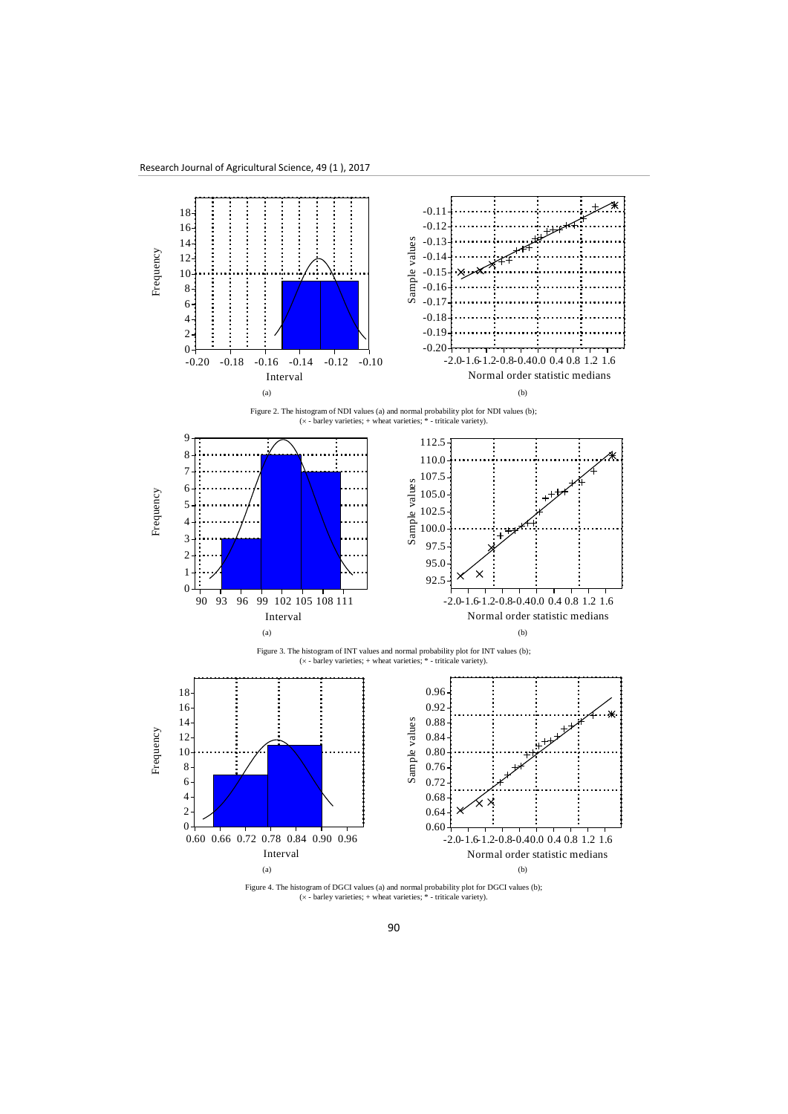

Figure 4. The histogram of DGCI values (a) and normal probability plot for DGCI values (b);  $(x - \text{barley varieties}; + \text{wheat varieties}; * - \text{triticale variety}).$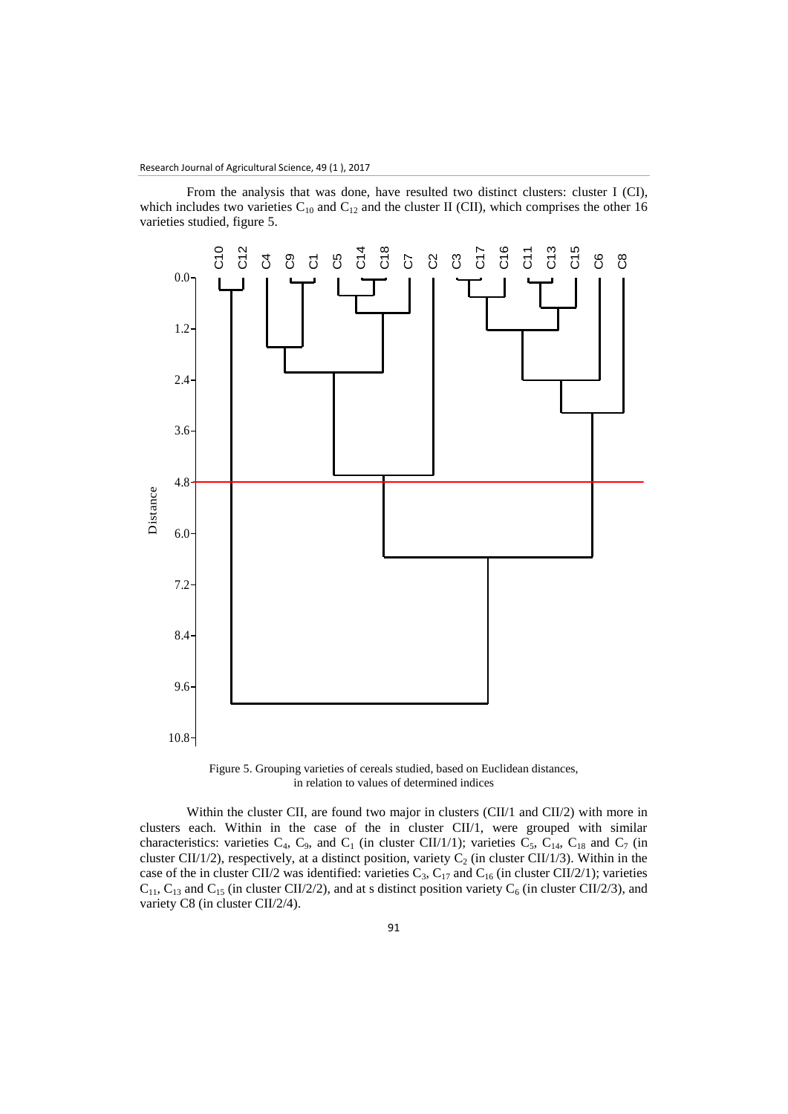From the analysis that was done, have resulted two distinct clusters: cluster I (CI), which includes two varieties  $C_{10}$  and  $C_{12}$  and the cluster II (CII), which comprises the other 16 varieties studied, figure 5.



Figure 5. Grouping varieties of cereals studied, based on Euclidean distances, in relation to values of determined indices

Within the cluster CII, are found two major in clusters (CII/1 and CII/2) with more in clusters each. Within in the case of the in cluster CII/1, were grouped with similar characteristics: varieties  $C_4$ ,  $C_9$ , and  $C_1$  (in cluster CII/1/1); varieties  $C_5$ ,  $C_{14}$ ,  $C_{18}$  and  $C_7$  (in cluster CII/1/2), respectively, at a distinct position, variety  $C_2$  (in cluster CII/1/3). Within in the case of the in cluster CII/2 was identified: varieties  $C_3$ ,  $C_{17}$  and  $C_{16}$  (in cluster CII/2/1); varieties  $C_{11}$ ,  $C_{13}$  and  $C_{15}$  (in cluster CII/2/2), and at s distinct position variety  $C_6$  (in cluster CII/2/3), and variety C8 (in cluster CII/2/4).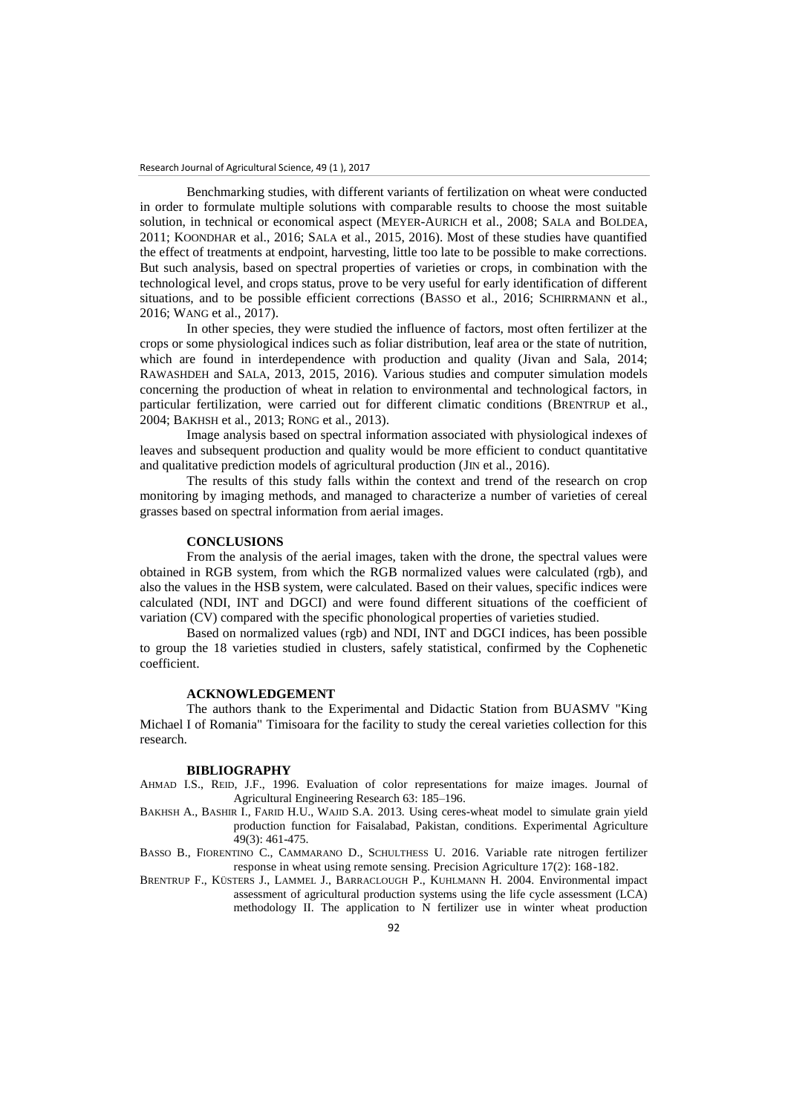Benchmarking studies, with different variants of fertilization on wheat were conducted in order to formulate multiple solutions with comparable results to choose the most suitable solution, in technical or economical aspect (MEYER-AURICH et al., 2008; SALA and BOLDEA, 2011; KOONDHAR et al., 2016; SALA et al., 2015, 2016). Most of these studies have quantified the effect of treatments at endpoint, harvesting, little too late to be possible to make corrections. But such analysis, based on spectral properties of varieties or crops, in combination with the technological level, and crops status, prove to be very useful for early identification of different situations, and to be possible efficient corrections (BASSO et al., 2016; SCHIRRMANN et al., 2016; WANG et al., 2017).

In other species, they were studied the influence of factors, most often fertilizer at the crops or some physiological indices such as foliar distribution, leaf area or the state of nutrition, which are found in interdependence with production and quality (Jivan and Sala, 2014; RAWASHDEH and SALA, 2013, 2015, 2016). Various studies and computer simulation models concerning the production of wheat in relation to environmental and technological factors, in particular fertilization, were carried out for different climatic conditions (BRENTRUP et al., 2004; BAKHSH et al., 2013; RONG et al., 2013).

Image analysis based on spectral information associated with physiological indexes of leaves and subsequent production and quality would be more efficient to conduct quantitative and qualitative prediction models of agricultural production (J<sub>IN</sub> et al., 2016).

The results of this study falls within the context and trend of the research on crop monitoring by imaging methods, and managed to characterize a number of varieties of cereal grasses based on spectral information from aerial images.

### **CONCLUSIONS**

From the analysis of the aerial images, taken with the drone, the spectral values were obtained in RGB system, from which the RGB normalized values were calculated (rgb), and also the values in the HSB system, were calculated. Based on their values, specific indices were calculated (NDI, INT and DGCI) and were found different situations of the coefficient of variation (CV) compared with the specific phonological properties of varieties studied.

Based on normalized values (rgb) and NDI, INT and DGCI indices, has been possible to group the 18 varieties studied in clusters, safely statistical, confirmed by the Cophenetic coefficient.

### **ACKNOWLEDGEMENT**

The authors thank to the Experimental and Didactic Station from BUASMV "King Michael I of Romania" Timisoara for the facility to study the cereal varieties collection for this research.

#### **BIBLIOGRAPHY**

AHMAD I.S., REID, J.F., 1996. Evaluation of color representations for maize images. Journal of Agricultural Engineering Research 63: 185–196.

- BAKHSH A., BASHIR I., FARID H.U., WAJID S.A. 2013. Using ceres-wheat model to simulate grain yield production function for Faisalabad, Pakistan, conditions. Experimental Agriculture 49(3): 461-475.
- BASSO B., FIORENTINO C., CAMMARANO D., SCHULTHESS U. 2016. Variable rate nitrogen fertilizer response in wheat using remote sensing. Precision Agriculture 17(2): 168-182.
- BRENTRUP F., KÜSTERS J., LAMMEL J., BARRACLOUGH P., KUHLMANN H. 2004. Environmental impact assessment of agricultural production systems using the life cycle assessment (LCA) methodology II. The application to N fertilizer use in winter wheat production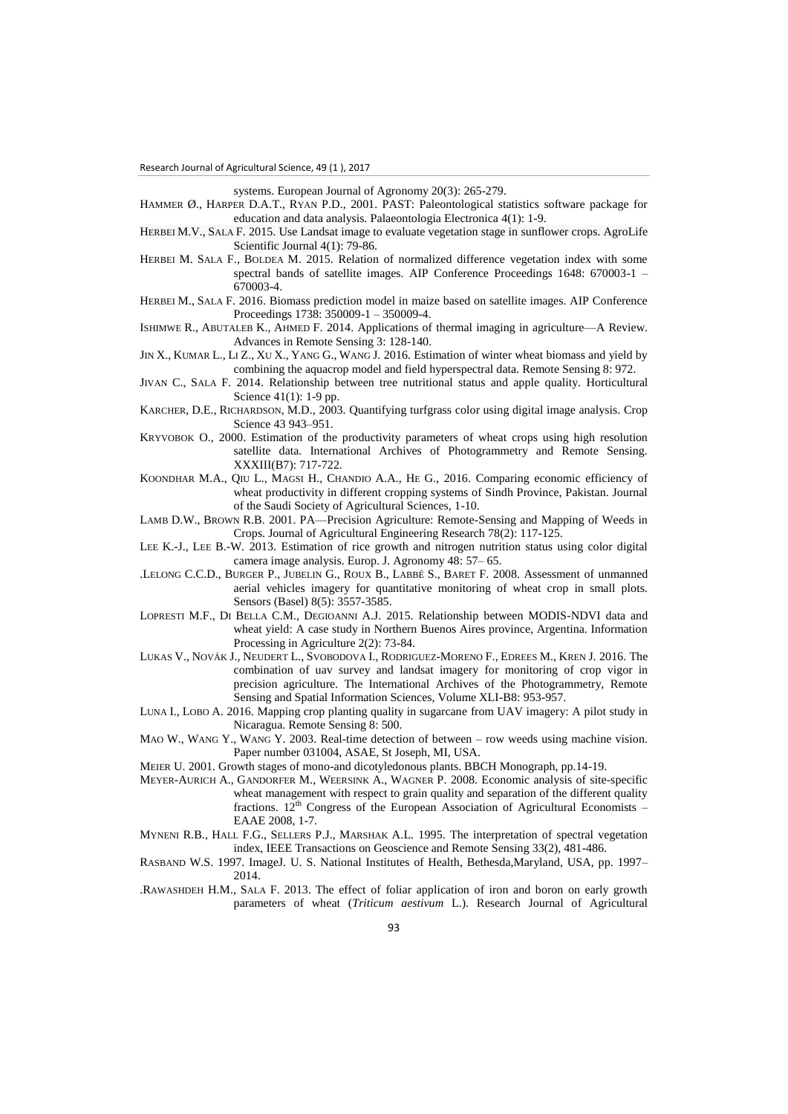systems. European Journal of Agronomy 20(3): 265-279.

- HAMMER Ø., HARPER D.A.T., RYAN P.D., 2001. PAST: Paleontological statistics software package for education and data analysis. Palaeontologia Electronica 4(1): 1-9.
- HERBEI M.V., SALA F. 2015. Use Landsat image to evaluate vegetation stage in sunflower crops. AgroLife Scientific Journal 4(1): 79-86.
- HERBEI M. SALA F., BOLDEA M. 2015. Relation of normalized difference vegetation index with some spectral bands of satellite images. AIP Conference Proceedings 1648: 670003-1 – 670003-4.
- HERBEI M., SALA F. 2016. Biomass prediction model in maize based on satellite images. AIP Conference Proceedings 1738: 350009-1 – 350009-4.
- ISHIMWE R., ABUTALEB K., AHMED F. 2014. Applications of thermal imaging in agriculture—A Review. Advances in Remote Sensing 3: 128-140.
- JIN X., KUMAR L., LI Z., XU X., YANG G., WANG J. 2016. Estimation of winter wheat biomass and yield by combining the aquacrop model and field hyperspectral data. Remote Sensing 8: 972.
- JIVAN C., SALA F. 2014. Relationship between tree nutritional status and apple quality. Horticultural Science 41(1): 1-9 pp.
- KARCHER, D.E., RICHARDSON, M.D., 2003. Quantifying turfgrass color using digital image analysis. Crop Science 43 943–951.
- KRYVOBOK O., 2000. Estimation of the productivity parameters of wheat crops using high resolution satellite data. International Archives of Photogrammetry and Remote Sensing. XXXIII(B7): 717-722.
- KOONDHAR M.A., QIU L., MAGSI H., CHANDIO A.A., HE G., 2016. Comparing economic efficiency of wheat productivity in different cropping systems of Sindh Province, Pakistan. Journal of the Saudi Society of Agricultural Sciences, 1-10.
- LAMB D.W., BROWN R.B. 2001. PA—Precision Agriculture: Remote-Sensing and Mapping of Weeds in Crops. Journal of Agricultural Engineering Research 78(2): 117-125.
- LEE K.-J., LEE B.-W. 2013. Estimation of rice growth and nitrogen nutrition status using color digital camera image analysis. Europ. J. Agronomy 48: 57– 65.
- .LELONG C.C.D., BURGER P., JUBELIN G., ROUX B., LABBÉ S., BARET F. 2008. Assessment of unmanned aerial vehicles imagery for quantitative monitoring of wheat crop in small plots. Sensors (Basel) 8(5): 3557-3585.
- LOPRESTI M.F., DI BELLA C.M., DEGIOANNI A.J. 2015. Relationship between MODIS-NDVI data and wheat yield: A case study in Northern Buenos Aires province, Argentina. Information Processing in Agriculture 2(2): 73-84.
- LUKAS V., NOVÁK J., NEUDERT L., SVOBODOVA I., RODRIGUEZ-MORENO F., EDREES M., KREN J. 2016. The combination of uav survey and landsat imagery for monitoring of crop vigor in precision agriculture. The International Archives of the Photogrammetry, Remote Sensing and Spatial Information Sciences, Volume XLI-B8: 953-957.
- LUNA I., LOBO A. 2016. Mapping crop planting quality in sugarcane from UAV imagery: A pilot study in Nicaragua. Remote Sensing 8: 500.
- MAO W., WANG Y., WANG Y. 2003. Real-time detection of between row weeds using machine vision. Paper number 031004, ASAE, St Joseph, MI, USA.
- MEIER U. 2001. Growth stages of mono-and dicotyledonous plants. BBCH Monograph, pp.14-19.
- MEYER-AURICH A., GANDORFER M., WEERSINK A., WAGNER P. 2008. Economic analysis of site-specific wheat management with respect to grain quality and separation of the different quality fractions.  $12^{th}$  Congress of the European Association of Agricultural Economists – EAAE 2008, 1-7.
- MYNENI R.B., HALL F.G., SELLERS P.J., MARSHAK A.L. 1995. The interpretation of spectral vegetation index, IEEE Transactions on Geoscience and Remote Sensing 33(2), 481-486.
- RASBAND W.S. 1997. ImageJ. U. S. National Institutes of Health, Bethesda,Maryland, USA, pp. 1997– 2014.
- .RAWASHDEH H.M., SALA F. 2013. The effect of foliar application of iron and boron on early growth parameters of wheat (*Triticum aestivum* L.). Research Journal of Agricultural